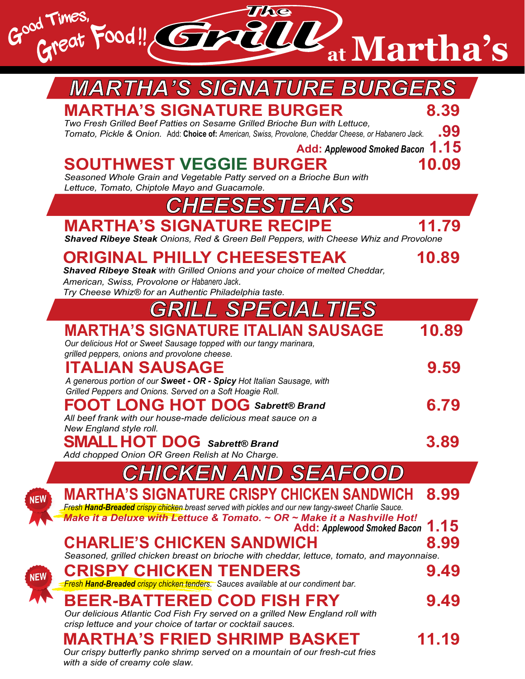

|            | <b><i>MARTHA'S SIGNATURE BURGERS</i></b>                                                                                                                                                                                               |             |
|------------|----------------------------------------------------------------------------------------------------------------------------------------------------------------------------------------------------------------------------------------|-------------|
|            | <b>MARTHA'S SIGNATURE BURGER</b><br>Two Fresh Grilled Beef Patties on Sesame Grilled Brioche Bun with Lettuce,<br>Tomato, Pickle & Onion. Add: Choice of: American, Swiss, Provolone, Cheddar Cheese, or Habanero Jack.                | 8.39<br>.99 |
|            | Add: Applewood Smoked Bacon 1.15<br><b>SOUTHWEST VEGGIE BURGER</b><br>Seasoned Whole Grain and Vegetable Patty served on a Brioche Bun with                                                                                            | 10.09       |
|            | Lettuce, Tomato, Chiptole Mayo and Guacamole.<br><i>CHEESESTEAKS</i>                                                                                                                                                                   |             |
|            | <b>MARTHA'S SIGNATURE RECIPE</b><br>Shaved Ribeye Steak Onions, Red & Green Bell Peppers, with Cheese Whiz and Provolone                                                                                                               | 11.79       |
|            | <b>ORIGINAL PHILLY CHEESESTEAK</b><br>Shaved Ribeye Steak with Grilled Onions and your choice of melted Cheddar,<br>American, Swiss, Provolone or Habanero Jack.<br>Try Cheese Whiz® for an Authentic Philadelphia taste.              | 10.89       |
|            | <i><b>GRILL SPECIALTIES</b></i>                                                                                                                                                                                                        |             |
|            | <b>MARTHA'S SIGNATURE ITALIAN SAUSAGE</b><br>Our delicious Hot or Sweet Sausage topped with our tangy marinara,<br>grilled peppers, onions and provolone cheese.                                                                       | 10.89       |
|            | <b>ITALIAN SAUSAGE</b><br>A generous portion of our Sweet - OR - Spicy Hot Italian Sausage, with<br>Grilled Peppers and Onions. Served on a Soft Hoagie Roll.                                                                          | 9.59        |
|            | <b>FOOT LONG HOT DOG Sabrett® Brand</b><br>All beef frank with our house-made delicious meat sauce on a<br>New England style roll.                                                                                                     | 6.79        |
|            | SMALL HOT DO<br>G Sabrett® Brand<br>Add chopped Onion OR Green Relish at No Charge.                                                                                                                                                    | 3.89        |
|            | <b>CHICKEN AND SEAFOC</b>                                                                                                                                                                                                              |             |
| <b>NEW</b> | MARTHA'S SIGNATURE CRISPY CHICKEN SANDWICH<br>Fresh Hand-Breaded crispy chicken breast served with pickles and our new tangy-sweet Charlie Sauce.<br>Make it a Deluxe with Lettuce & Tomato. $\sim$ OR $\sim$ Make it a Nashville Hot! | 8.99        |
|            | <b>Add: Applewood Smoked Bacon</b>                                                                                                                                                                                                     | 1.15        |
|            | <b>CHARLIE'S CHICKEN SANDWICH</b><br>Seasoned, grilled chicken breast on brioche with cheddar, lettuce, tomato, and mayonnaise.                                                                                                        | 8.99        |
| <b>NEW</b> | <b>CRISPY CHICKEN TENDERS</b><br>Fresh Hand-Breaded crispy chicken tenders. Sauces available at our condiment bar.                                                                                                                     | 9.49        |
|            | BEER-BATTERED COD FISH FRY<br>Our delicious Atlantic Cod Fish Fry served on a grilled New England roll with<br>crisp lettuce and your choice of tartar or cocktail sauces.                                                             | 9.49        |
|            | MARTHA'S FRIED SHRIMP BASKET                                                                                                                                                                                                           | 11.19       |

*Our crispy butterfly panko shrimp served on a mountain of our fresh-cut fries with a side of creamy cole slaw.*

ł

l